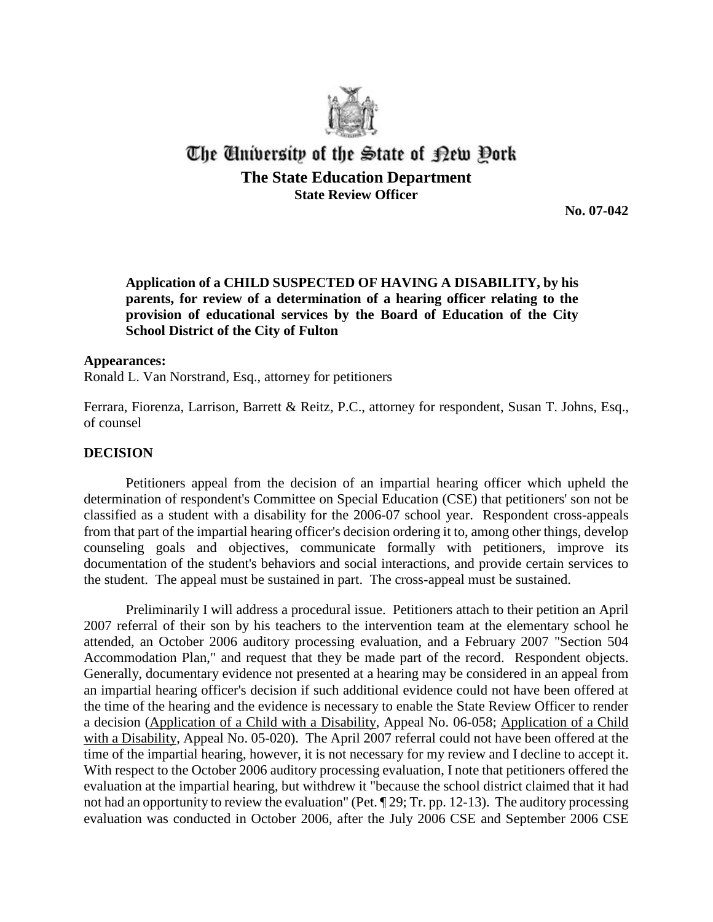

# The Gniversity of the State of Dew Oork **The State Education Department State Review Officer**

**No. 07-042**

## **Application of a CHILD SUSPECTED OF HAVING A DISABILITY, by his parents, for review of a determination of a hearing officer relating to the provision of educational services by the Board of Education of the City School District of the City of Fulton**

#### **Appearances:**

Ronald L. Van Norstrand, Esq., attorney for petitioners

Ferrara, Fiorenza, Larrison, Barrett & Reitz, P.C., attorney for respondent, Susan T. Johns, Esq., of counsel

#### **DECISION**

Petitioners appeal from the decision of an impartial hearing officer which upheld the determination of respondent's Committee on Special Education (CSE) that petitioners' son not be classified as a student with a disability for the 2006-07 school year. Respondent cross-appeals from that part of the impartial hearing officer's decision ordering it to, among other things, develop counseling goals and objectives, communicate formally with petitioners, improve its documentation of the student's behaviors and social interactions, and provide certain services to the student. The appeal must be sustained in part. The cross-appeal must be sustained.

Preliminarily I will address a procedural issue. Petitioners attach to their petition an April 2007 referral of their son by his teachers to the intervention team at the elementary school he attended, an October 2006 auditory processing evaluation, and a February 2007 "Section 504 Accommodation Plan," and request that they be made part of the record. Respondent objects. Generally, documentary evidence not presented at a hearing may be considered in an appeal from an impartial hearing officer's decision if such additional evidence could not have been offered at the time of the hearing and the evidence is necessary to enable the State Review Officer to render a decision (Application of a Child with a Disability, Appeal No. 06-058; Application of a Child with a Disability, Appeal No. 05-020). The April 2007 referral could not have been offered at the time of the impartial hearing, however, it is not necessary for my review and I decline to accept it. With respect to the October 2006 auditory processing evaluation, I note that petitioners offered the evaluation at the impartial hearing, but withdrew it "because the school district claimed that it had not had an opportunity to review the evaluation" (Pet. ¶ 29; Tr. pp. 12-13). The auditory processing evaluation was conducted in October 2006, after the July 2006 CSE and September 2006 CSE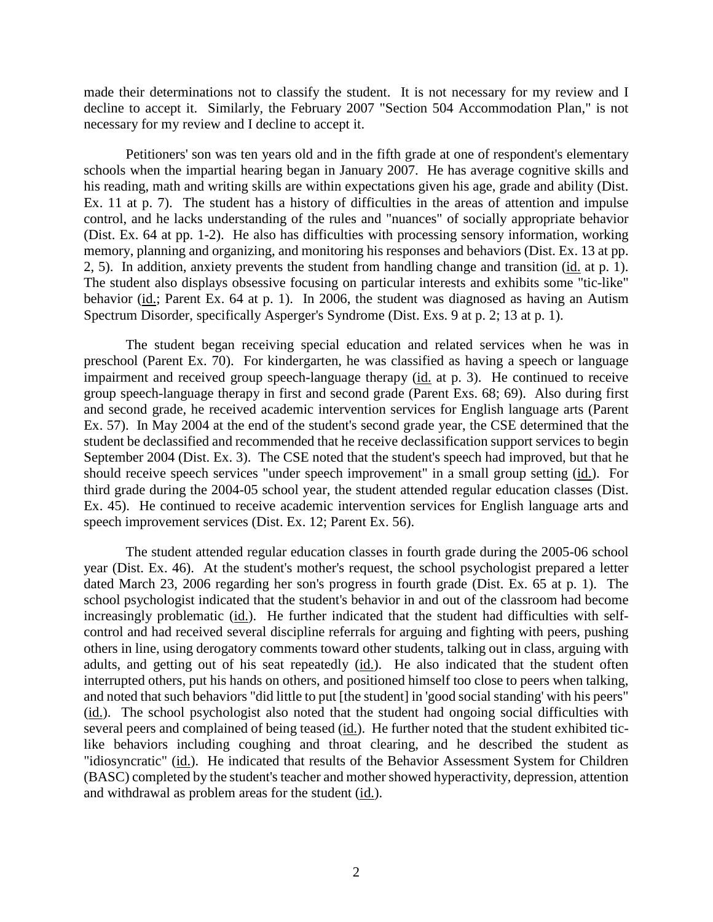made their determinations not to classify the student. It is not necessary for my review and I decline to accept it. Similarly, the February 2007 "Section 504 Accommodation Plan," is not necessary for my review and I decline to accept it.

Petitioners' son was ten years old and in the fifth grade at one of respondent's elementary schools when the impartial hearing began in January 2007. He has average cognitive skills and his reading, math and writing skills are within expectations given his age, grade and ability (Dist. Ex. 11 at p. 7). The student has a history of difficulties in the areas of attention and impulse control, and he lacks understanding of the rules and "nuances" of socially appropriate behavior (Dist. Ex. 64 at pp. 1-2). He also has difficulties with processing sensory information, working memory, planning and organizing, and monitoring his responses and behaviors (Dist. Ex. 13 at pp. 2, 5). In addition, anxiety prevents the student from handling change and transition (id. at p. 1). The student also displays obsessive focusing on particular interests and exhibits some "tic-like" behavior (id.; Parent Ex. 64 at p. 1). In 2006, the student was diagnosed as having an Autism Spectrum Disorder, specifically Asperger's Syndrome (Dist. Exs. 9 at p. 2; 13 at p. 1).

The student began receiving special education and related services when he was in preschool (Parent Ex. 70). For kindergarten, he was classified as having a speech or language impairment and received group speech-language therapy (id. at p. 3). He continued to receive group speech-language therapy in first and second grade (Parent Exs. 68; 69). Also during first and second grade, he received academic intervention services for English language arts (Parent Ex. 57). In May 2004 at the end of the student's second grade year, the CSE determined that the student be declassified and recommended that he receive declassification support services to begin September 2004 (Dist. Ex. 3). The CSE noted that the student's speech had improved, but that he should receive speech services "under speech improvement" in a small group setting (id.). For third grade during the 2004-05 school year, the student attended regular education classes (Dist. Ex. 45). He continued to receive academic intervention services for English language arts and speech improvement services (Dist. Ex. 12; Parent Ex. 56).

The student attended regular education classes in fourth grade during the 2005-06 school year (Dist. Ex. 46). At the student's mother's request, the school psychologist prepared a letter dated March 23, 2006 regarding her son's progress in fourth grade (Dist. Ex. 65 at p. 1). The school psychologist indicated that the student's behavior in and out of the classroom had become increasingly problematic (id.). He further indicated that the student had difficulties with selfcontrol and had received several discipline referrals for arguing and fighting with peers, pushing others in line, using derogatory comments toward other students, talking out in class, arguing with adults, and getting out of his seat repeatedly (id.). He also indicated that the student often interrupted others, put his hands on others, and positioned himself too close to peers when talking, and noted that such behaviors "did little to put [the student] in 'good social standing' with his peers" (id.). The school psychologist also noted that the student had ongoing social difficulties with several peers and complained of being teased (id.). He further noted that the student exhibited ticlike behaviors including coughing and throat clearing, and he described the student as "idiosyncratic" (id.). He indicated that results of the Behavior Assessment System for Children (BASC) completed by the student's teacher and mother showed hyperactivity, depression, attention and withdrawal as problem areas for the student (id.).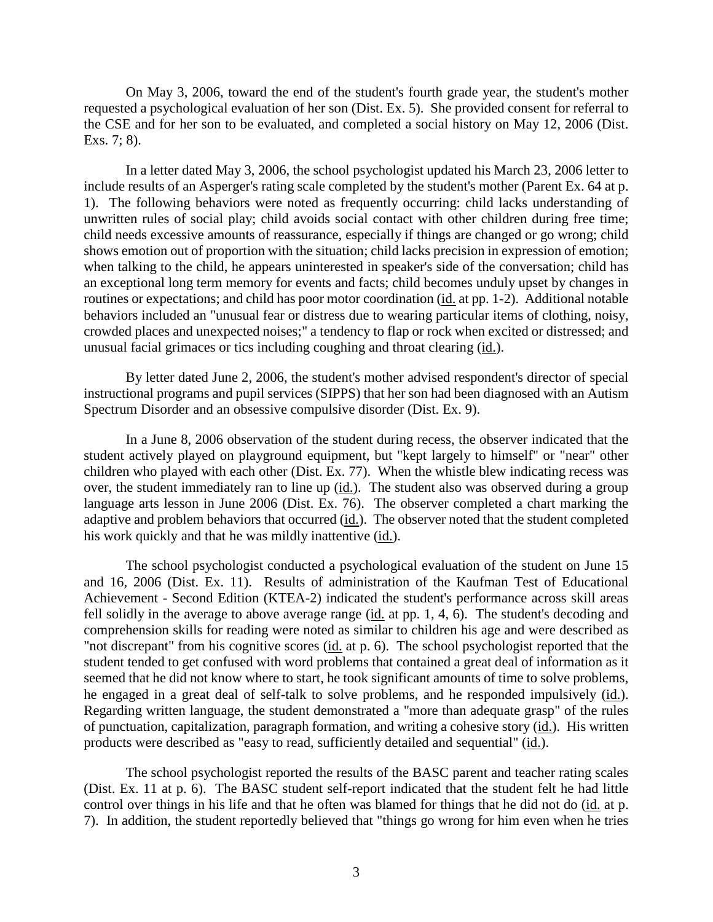On May 3, 2006, toward the end of the student's fourth grade year, the student's mother requested a psychological evaluation of her son (Dist. Ex. 5). She provided consent for referral to the CSE and for her son to be evaluated, and completed a social history on May 12, 2006 (Dist. Exs. 7; 8).

In a letter dated May 3, 2006, the school psychologist updated his March 23, 2006 letter to include results of an Asperger's rating scale completed by the student's mother (Parent Ex. 64 at p. 1). The following behaviors were noted as frequently occurring: child lacks understanding of unwritten rules of social play; child avoids social contact with other children during free time; child needs excessive amounts of reassurance, especially if things are changed or go wrong; child shows emotion out of proportion with the situation; child lacks precision in expression of emotion; when talking to the child, he appears uninterested in speaker's side of the conversation; child has an exceptional long term memory for events and facts; child becomes unduly upset by changes in routines or expectations; and child has poor motor coordination (id. at pp. 1-2). Additional notable behaviors included an "unusual fear or distress due to wearing particular items of clothing, noisy, crowded places and unexpected noises;" a tendency to flap or rock when excited or distressed; and unusual facial grimaces or tics including coughing and throat clearing (id.).

By letter dated June 2, 2006, the student's mother advised respondent's director of special instructional programs and pupil services (SIPPS) that her son had been diagnosed with an Autism Spectrum Disorder and an obsessive compulsive disorder (Dist. Ex. 9).

In a June 8, 2006 observation of the student during recess, the observer indicated that the student actively played on playground equipment, but "kept largely to himself" or "near" other children who played with each other (Dist. Ex. 77). When the whistle blew indicating recess was over, the student immediately ran to line up (id.). The student also was observed during a group language arts lesson in June 2006 (Dist. Ex. 76). The observer completed a chart marking the adaptive and problem behaviors that occurred (id.). The observer noted that the student completed his work quickly and that he was mildly inattentive (id.).

The school psychologist conducted a psychological evaluation of the student on June 15 and 16, 2006 (Dist. Ex. 11). Results of administration of the Kaufman Test of Educational Achievement - Second Edition (KTEA-2) indicated the student's performance across skill areas fell solidly in the average to above average range (id. at pp. 1, 4, 6). The student's decoding and comprehension skills for reading were noted as similar to children his age and were described as "not discrepant" from his cognitive scores (id. at p. 6). The school psychologist reported that the student tended to get confused with word problems that contained a great deal of information as it seemed that he did not know where to start, he took significant amounts of time to solve problems, he engaged in a great deal of self-talk to solve problems, and he responded impulsively (id.). Regarding written language, the student demonstrated a "more than adequate grasp" of the rules of punctuation, capitalization, paragraph formation, and writing a cohesive story (id.). His written products were described as "easy to read, sufficiently detailed and sequential" (id.).

The school psychologist reported the results of the BASC parent and teacher rating scales (Dist. Ex. 11 at p. 6). The BASC student self-report indicated that the student felt he had little control over things in his life and that he often was blamed for things that he did not do (id. at p. 7). In addition, the student reportedly believed that "things go wrong for him even when he tries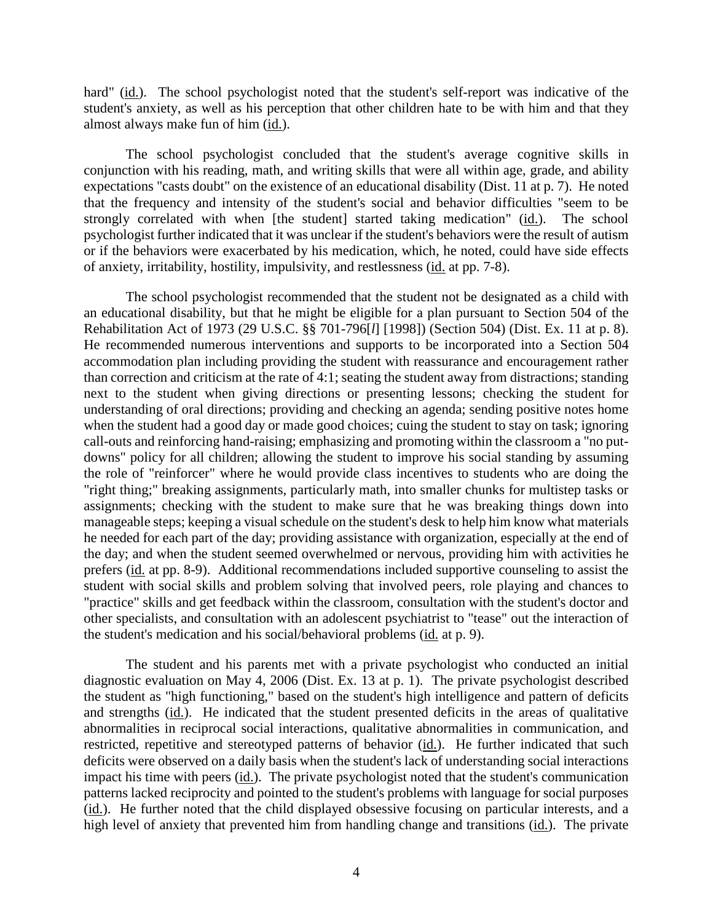hard" (id.). The school psychologist noted that the student's self-report was indicative of the student's anxiety, as well as his perception that other children hate to be with him and that they almost always make fun of him (id.).

The school psychologist concluded that the student's average cognitive skills in conjunction with his reading, math, and writing skills that were all within age, grade, and ability expectations "casts doubt" on the existence of an educational disability (Dist. 11 at p. 7). He noted that the frequency and intensity of the student's social and behavior difficulties "seem to be strongly correlated with when [the student] started taking medication" (id.). The school psychologist further indicated that it was unclear if the student's behaviors were the result of autism or if the behaviors were exacerbated by his medication, which, he noted, could have side effects of anxiety, irritability, hostility, impulsivity, and restlessness (id. at pp. 7-8).

The school psychologist recommended that the student not be designated as a child with an educational disability, but that he might be eligible for a plan pursuant to Section 504 of the Rehabilitation Act of 1973 (29 U.S.C. §§ 701-796[*l*] [1998]) (Section 504) (Dist. Ex. 11 at p. 8). He recommended numerous interventions and supports to be incorporated into a Section 504 accommodation plan including providing the student with reassurance and encouragement rather than correction and criticism at the rate of 4:1; seating the student away from distractions; standing next to the student when giving directions or presenting lessons; checking the student for understanding of oral directions; providing and checking an agenda; sending positive notes home when the student had a good day or made good choices; cuing the student to stay on task; ignoring call-outs and reinforcing hand-raising; emphasizing and promoting within the classroom a "no putdowns" policy for all children; allowing the student to improve his social standing by assuming the role of "reinforcer" where he would provide class incentives to students who are doing the "right thing;" breaking assignments, particularly math, into smaller chunks for multistep tasks or assignments; checking with the student to make sure that he was breaking things down into manageable steps; keeping a visual schedule on the student's desk to help him know what materials he needed for each part of the day; providing assistance with organization, especially at the end of the day; and when the student seemed overwhelmed or nervous, providing him with activities he prefers (id. at pp. 8-9). Additional recommendations included supportive counseling to assist the student with social skills and problem solving that involved peers, role playing and chances to "practice" skills and get feedback within the classroom, consultation with the student's doctor and other specialists, and consultation with an adolescent psychiatrist to "tease" out the interaction of the student's medication and his social/behavioral problems (id. at p. 9).

The student and his parents met with a private psychologist who conducted an initial diagnostic evaluation on May 4, 2006 (Dist. Ex. 13 at p. 1). The private psychologist described the student as "high functioning," based on the student's high intelligence and pattern of deficits and strengths (id.). He indicated that the student presented deficits in the areas of qualitative abnormalities in reciprocal social interactions, qualitative abnormalities in communication, and restricted, repetitive and stereotyped patterns of behavior (id.). He further indicated that such deficits were observed on a daily basis when the student's lack of understanding social interactions impact his time with peers (id.). The private psychologist noted that the student's communication patterns lacked reciprocity and pointed to the student's problems with language for social purposes (id.). He further noted that the child displayed obsessive focusing on particular interests, and a high level of anxiety that prevented him from handling change and transitions (id.). The private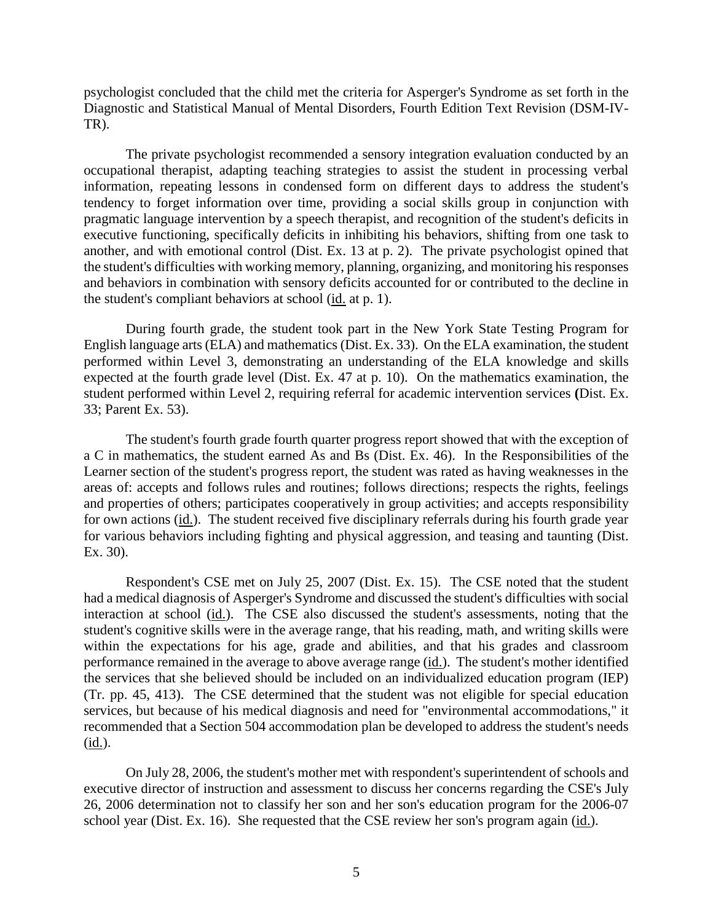psychologist concluded that the child met the criteria for Asperger's Syndrome as set forth in the Diagnostic and Statistical Manual of Mental Disorders, Fourth Edition Text Revision (DSM-IV-TR).

The private psychologist recommended a sensory integration evaluation conducted by an occupational therapist, adapting teaching strategies to assist the student in processing verbal information, repeating lessons in condensed form on different days to address the student's tendency to forget information over time, providing a social skills group in conjunction with pragmatic language intervention by a speech therapist, and recognition of the student's deficits in executive functioning, specifically deficits in inhibiting his behaviors, shifting from one task to another, and with emotional control (Dist. Ex. 13 at p. 2). The private psychologist opined that the student's difficulties with working memory, planning, organizing, and monitoring his responses and behaviors in combination with sensory deficits accounted for or contributed to the decline in the student's compliant behaviors at school (id. at p. 1).

During fourth grade, the student took part in the New York State Testing Program for English language arts (ELA) and mathematics (Dist. Ex. 33). On the ELA examination, the student performed within Level 3, demonstrating an understanding of the ELA knowledge and skills expected at the fourth grade level (Dist. Ex. 47 at p. 10). On the mathematics examination, the student performed within Level 2, requiring referral for academic intervention services **(**Dist. Ex. 33; Parent Ex. 53).

The student's fourth grade fourth quarter progress report showed that with the exception of a C in mathematics, the student earned As and Bs (Dist. Ex. 46). In the Responsibilities of the Learner section of the student's progress report, the student was rated as having weaknesses in the areas of: accepts and follows rules and routines; follows directions; respects the rights, feelings and properties of others; participates cooperatively in group activities; and accepts responsibility for own actions (id.). The student received five disciplinary referrals during his fourth grade year for various behaviors including fighting and physical aggression, and teasing and taunting (Dist. Ex. 30).

Respondent's CSE met on July 25, 2007 (Dist. Ex. 15). The CSE noted that the student had a medical diagnosis of Asperger's Syndrome and discussed the student's difficulties with social interaction at school (id.). The CSE also discussed the student's assessments, noting that the student's cognitive skills were in the average range, that his reading, math, and writing skills were within the expectations for his age, grade and abilities, and that his grades and classroom performance remained in the average to above average range (id.). The student's mother identified the services that she believed should be included on an individualized education program (IEP) (Tr. pp. 45, 413). The CSE determined that the student was not eligible for special education services, but because of his medical diagnosis and need for "environmental accommodations," it recommended that a Section 504 accommodation plan be developed to address the student's needs (id.).

On July 28, 2006, the student's mother met with respondent's superintendent of schools and executive director of instruction and assessment to discuss her concerns regarding the CSE's July 26, 2006 determination not to classify her son and her son's education program for the 2006-07 school year (Dist. Ex. 16). She requested that the CSE review her son's program again (id.).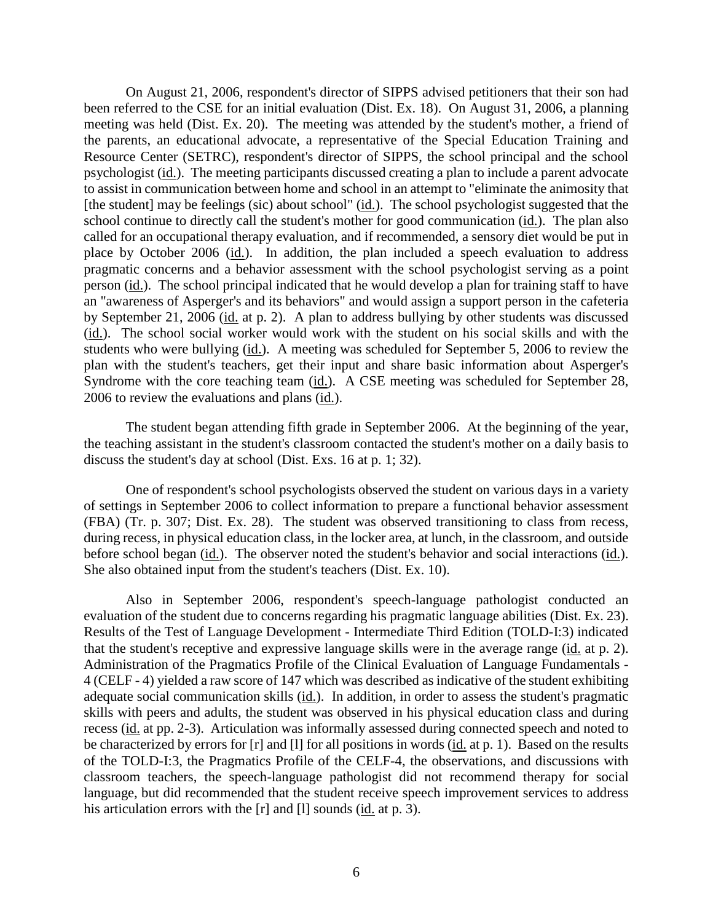On August 21, 2006, respondent's director of SIPPS advised petitioners that their son had been referred to the CSE for an initial evaluation (Dist. Ex. 18). On August 31, 2006, a planning meeting was held (Dist. Ex. 20). The meeting was attended by the student's mother, a friend of the parents, an educational advocate, a representative of the Special Education Training and Resource Center (SETRC), respondent's director of SIPPS, the school principal and the school psychologist (id.). The meeting participants discussed creating a plan to include a parent advocate to assist in communication between home and school in an attempt to "eliminate the animosity that [the student] may be feelings (sic) about school" (id.). The school psychologist suggested that the school continue to directly call the student's mother for good communication (id.). The plan also called for an occupational therapy evaluation, and if recommended, a sensory diet would be put in place by October 2006 (id.). In addition, the plan included a speech evaluation to address pragmatic concerns and a behavior assessment with the school psychologist serving as a point person (id.). The school principal indicated that he would develop a plan for training staff to have an "awareness of Asperger's and its behaviors" and would assign a support person in the cafeteria by September 21, 2006 (id. at p. 2). A plan to address bullying by other students was discussed (id.). The school social worker would work with the student on his social skills and with the students who were bullying (id.). A meeting was scheduled for September 5, 2006 to review the plan with the student's teachers, get their input and share basic information about Asperger's Syndrome with the core teaching team (id.). A CSE meeting was scheduled for September 28, 2006 to review the evaluations and plans (id.).

The student began attending fifth grade in September 2006. At the beginning of the year, the teaching assistant in the student's classroom contacted the student's mother on a daily basis to discuss the student's day at school (Dist. Exs. 16 at p. 1; 32).

One of respondent's school psychologists observed the student on various days in a variety of settings in September 2006 to collect information to prepare a functional behavior assessment (FBA) (Tr. p. 307; Dist. Ex. 28). The student was observed transitioning to class from recess, during recess, in physical education class, in the locker area, at lunch, in the classroom, and outside before school began (id.). The observer noted the student's behavior and social interactions (id.). She also obtained input from the student's teachers (Dist. Ex. 10).

Also in September 2006, respondent's speech-language pathologist conducted an evaluation of the student due to concerns regarding his pragmatic language abilities (Dist. Ex. 23). Results of the Test of Language Development - Intermediate Third Edition (TOLD-I:3) indicated that the student's receptive and expressive language skills were in the average range (id. at p. 2). Administration of the Pragmatics Profile of the Clinical Evaluation of Language Fundamentals - 4 (CELF - 4) yielded a raw score of 147 which was described as indicative of the student exhibiting adequate social communication skills (id.). In addition, in order to assess the student's pragmatic skills with peers and adults, the student was observed in his physical education class and during recess (id. at pp. 2-3). Articulation was informally assessed during connected speech and noted to be characterized by errors for [r] and [l] for all positions in words (id. at p. 1). Based on the results of the TOLD-I:3, the Pragmatics Profile of the CELF-4, the observations, and discussions with classroom teachers, the speech-language pathologist did not recommend therapy for social language, but did recommended that the student receive speech improvement services to address his articulation errors with the [r] and [l] sounds (id. at p. 3).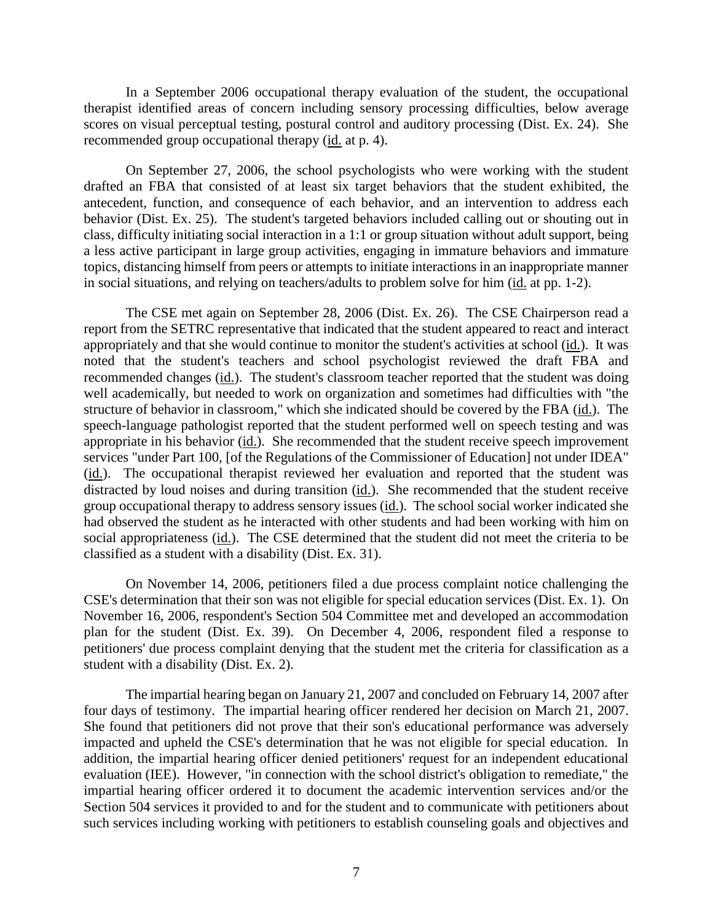In a September 2006 occupational therapy evaluation of the student, the occupational therapist identified areas of concern including sensory processing difficulties, below average scores on visual perceptual testing, postural control and auditory processing (Dist. Ex. 24). She recommended group occupational therapy (id. at p. 4).

On September 27, 2006, the school psychologists who were working with the student drafted an FBA that consisted of at least six target behaviors that the student exhibited, the antecedent, function, and consequence of each behavior, and an intervention to address each behavior (Dist. Ex. 25). The student's targeted behaviors included calling out or shouting out in class, difficulty initiating social interaction in a 1:1 or group situation without adult support, being a less active participant in large group activities, engaging in immature behaviors and immature topics, distancing himself from peers or attempts to initiate interactions in an inappropriate manner in social situations, and relying on teachers/adults to problem solve for him (id. at pp. 1-2).

The CSE met again on September 28, 2006 (Dist. Ex. 26). The CSE Chairperson read a report from the SETRC representative that indicated that the student appeared to react and interact appropriately and that she would continue to monitor the student's activities at school (id.). It was noted that the student's teachers and school psychologist reviewed the draft FBA and recommended changes (id.). The student's classroom teacher reported that the student was doing well academically, but needed to work on organization and sometimes had difficulties with "the structure of behavior in classroom," which she indicated should be covered by the FBA (id.). The speech-language pathologist reported that the student performed well on speech testing and was appropriate in his behavior (id.). She recommended that the student receive speech improvement services "under Part 100, [of the Regulations of the Commissioner of Education] not under IDEA" (id.). The occupational therapist reviewed her evaluation and reported that the student was distracted by loud noises and during transition (id.). She recommended that the student receive group occupational therapy to address sensory issues (id.). The school social worker indicated she had observed the student as he interacted with other students and had been working with him on social appropriateness (id.). The CSE determined that the student did not meet the criteria to be classified as a student with a disability (Dist. Ex. 31).

On November 14, 2006, petitioners filed a due process complaint notice challenging the CSE's determination that their son was not eligible for special education services (Dist. Ex. 1). On November 16, 2006, respondent's Section 504 Committee met and developed an accommodation plan for the student (Dist. Ex. 39). On December 4, 2006, respondent filed a response to petitioners' due process complaint denying that the student met the criteria for classification as a student with a disability (Dist. Ex. 2).

The impartial hearing began on January 21, 2007 and concluded on February 14, 2007 after four days of testimony. The impartial hearing officer rendered her decision on March 21, 2007. She found that petitioners did not prove that their son's educational performance was adversely impacted and upheld the CSE's determination that he was not eligible for special education. In addition, the impartial hearing officer denied petitioners' request for an independent educational evaluation (IEE). However, "in connection with the school district's obligation to remediate," the impartial hearing officer ordered it to document the academic intervention services and/or the Section 504 services it provided to and for the student and to communicate with petitioners about such services including working with petitioners to establish counseling goals and objectives and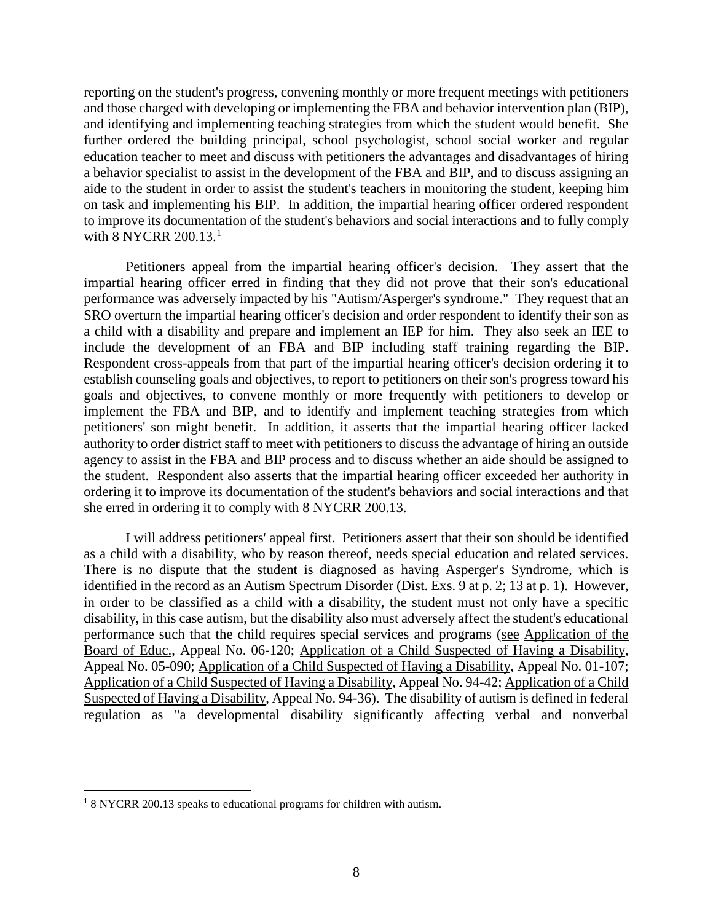reporting on the student's progress, convening monthly or more frequent meetings with petitioners and those charged with developing or implementing the FBA and behavior intervention plan (BIP), and identifying and implementing teaching strategies from which the student would benefit. She further ordered the building principal, school psychologist, school social worker and regular education teacher to meet and discuss with petitioners the advantages and disadvantages of hiring a behavior specialist to assist in the development of the FBA and BIP, and to discuss assigning an aide to the student in order to assist the student's teachers in monitoring the student, keeping him on task and implementing his BIP. In addition, the impartial hearing officer ordered respondent to improve its documentation of the student's behaviors and social interactions and to fully comply with  $8$  NYCRR 200.13.<sup>1</sup>

Petitioners appeal from the impartial hearing officer's decision. They assert that the impartial hearing officer erred in finding that they did not prove that their son's educational performance was adversely impacted by his "Autism/Asperger's syndrome." They request that an SRO overturn the impartial hearing officer's decision and order respondent to identify their son as a child with a disability and prepare and implement an IEP for him. They also seek an IEE to include the development of an FBA and BIP including staff training regarding the BIP. Respondent cross-appeals from that part of the impartial hearing officer's decision ordering it to establish counseling goals and objectives, to report to petitioners on their son's progress toward his goals and objectives, to convene monthly or more frequently with petitioners to develop or implement the FBA and BIP, and to identify and implement teaching strategies from which petitioners' son might benefit. In addition, it asserts that the impartial hearing officer lacked authority to order district staff to meet with petitioners to discuss the advantage of hiring an outside agency to assist in the FBA and BIP process and to discuss whether an aide should be assigned to the student. Respondent also asserts that the impartial hearing officer exceeded her authority in ordering it to improve its documentation of the student's behaviors and social interactions and that she erred in ordering it to comply with 8 NYCRR 200.13.

I will address petitioners' appeal first. Petitioners assert that their son should be identified as a child with a disability, who by reason thereof, needs special education and related services. There is no dispute that the student is diagnosed as having Asperger's Syndrome, which is identified in the record as an Autism Spectrum Disorder (Dist. Exs. 9 at p. 2; 13 at p. 1). However, in order to be classified as a child with a disability, the student must not only have a specific disability, in this case autism, but the disability also must adversely affect the student's educational performance such that the child requires special services and programs (see Application of the Board of Educ., Appeal No. 06-120; Application of a Child Suspected of Having a Disability, Appeal No. 05-090; Application of a Child Suspected of Having a Disability, Appeal No. 01-107; Application of a Child Suspected of Having a Disability, Appeal No. 94-42; Application of a Child Suspected of Having a Disability, Appeal No. 94-36). The disability of autism is defined in federal regulation as "a developmental disability significantly affecting verbal and nonverbal

<sup>&</sup>lt;sup>1</sup> 8 NYCRR 200.13 speaks to educational programs for children with autism.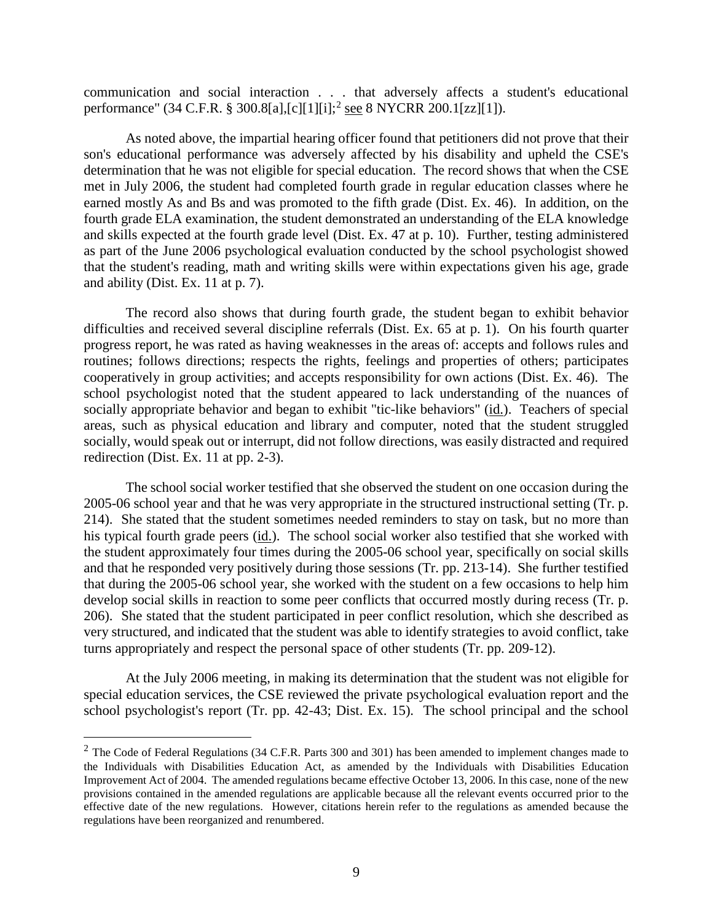communication and social interaction . . . that adversely affects a student's educational performance" (34 C.F.R. § 300.8[a],[c][1][i];<sup>2</sup> <u>see</u> 8 NYCRR 200.1[zz][1]).

As noted above, the impartial hearing officer found that petitioners did not prove that their son's educational performance was adversely affected by his disability and upheld the CSE's determination that he was not eligible for special education. The record shows that when the CSE met in July 2006, the student had completed fourth grade in regular education classes where he earned mostly As and Bs and was promoted to the fifth grade (Dist. Ex. 46). In addition, on the fourth grade ELA examination, the student demonstrated an understanding of the ELA knowledge and skills expected at the fourth grade level (Dist. Ex. 47 at p. 10). Further, testing administered as part of the June 2006 psychological evaluation conducted by the school psychologist showed that the student's reading, math and writing skills were within expectations given his age, grade and ability (Dist. Ex. 11 at p. 7).

The record also shows that during fourth grade, the student began to exhibit behavior difficulties and received several discipline referrals (Dist. Ex. 65 at p. 1). On his fourth quarter progress report, he was rated as having weaknesses in the areas of: accepts and follows rules and routines; follows directions; respects the rights, feelings and properties of others; participates cooperatively in group activities; and accepts responsibility for own actions (Dist. Ex. 46). The school psychologist noted that the student appeared to lack understanding of the nuances of socially appropriate behavior and began to exhibit "tic-like behaviors" (id.). Teachers of special areas, such as physical education and library and computer, noted that the student struggled socially, would speak out or interrupt, did not follow directions, was easily distracted and required redirection (Dist. Ex. 11 at pp. 2-3).

The school social worker testified that she observed the student on one occasion during the 2005-06 school year and that he was very appropriate in the structured instructional setting (Tr. p. 214). She stated that the student sometimes needed reminders to stay on task, but no more than his typical fourth grade peers (id.). The school social worker also testified that she worked with the student approximately four times during the 2005-06 school year, specifically on social skills and that he responded very positively during those sessions (Tr. pp. 213-14). She further testified that during the 2005-06 school year, she worked with the student on a few occasions to help him develop social skills in reaction to some peer conflicts that occurred mostly during recess (Tr. p. 206). She stated that the student participated in peer conflict resolution, which she described as very structured, and indicated that the student was able to identify strategies to avoid conflict, take turns appropriately and respect the personal space of other students (Tr. pp. 209-12).

At the July 2006 meeting, in making its determination that the student was not eligible for special education services, the CSE reviewed the private psychological evaluation report and the school psychologist's report (Tr. pp. 42-43; Dist. Ex. 15). The school principal and the school

 $2$  The Code of Federal Regulations (34 C.F.R. Parts 300 and 301) has been amended to implement changes made to the Individuals with Disabilities Education Act, as amended by the Individuals with Disabilities Education Improvement Act of 2004. The amended regulations became effective October 13, 2006. In this case, none of the new provisions contained in the amended regulations are applicable because all the relevant events occurred prior to the effective date of the new regulations. However, citations herein refer to the regulations as amended because the regulations have been reorganized and renumbered.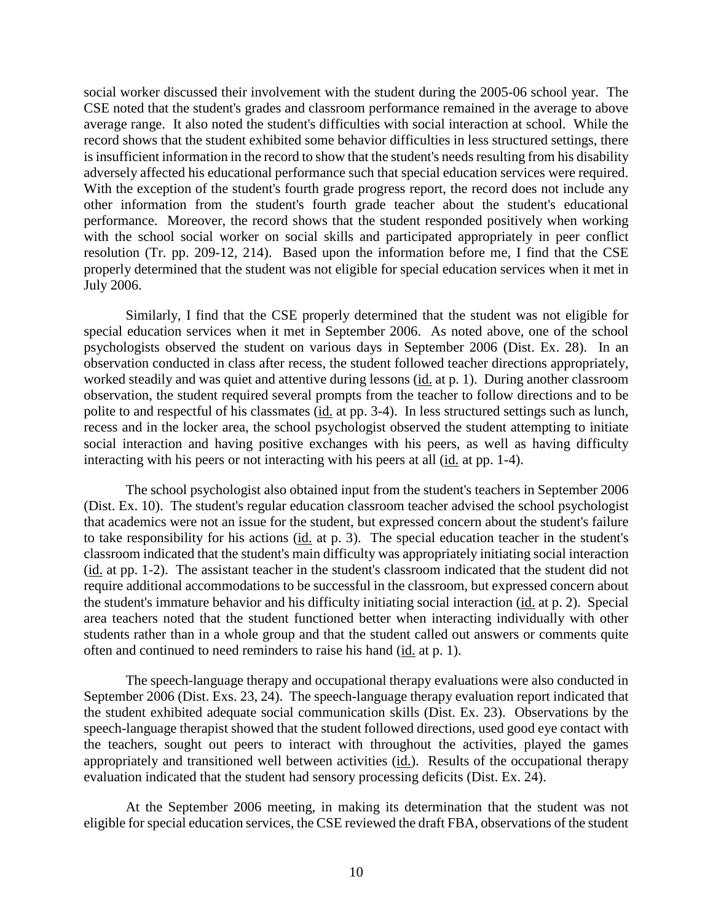social worker discussed their involvement with the student during the 2005-06 school year. The CSE noted that the student's grades and classroom performance remained in the average to above average range. It also noted the student's difficulties with social interaction at school. While the record shows that the student exhibited some behavior difficulties in less structured settings, there is insufficient information in the record to show that the student's needs resulting from his disability adversely affected his educational performance such that special education services were required. With the exception of the student's fourth grade progress report, the record does not include any other information from the student's fourth grade teacher about the student's educational performance. Moreover, the record shows that the student responded positively when working with the school social worker on social skills and participated appropriately in peer conflict resolution (Tr. pp. 209-12, 214). Based upon the information before me, I find that the CSE properly determined that the student was not eligible for special education services when it met in July 2006.

Similarly, I find that the CSE properly determined that the student was not eligible for special education services when it met in September 2006. As noted above, one of the school psychologists observed the student on various days in September 2006 (Dist. Ex. 28). In an observation conducted in class after recess, the student followed teacher directions appropriately, worked steadily and was quiet and attentive during lessons (id. at p. 1). During another classroom observation, the student required several prompts from the teacher to follow directions and to be polite to and respectful of his classmates (id. at pp. 3-4). In less structured settings such as lunch, recess and in the locker area, the school psychologist observed the student attempting to initiate social interaction and having positive exchanges with his peers, as well as having difficulty interacting with his peers or not interacting with his peers at all (id. at pp. 1-4).

The school psychologist also obtained input from the student's teachers in September 2006 (Dist. Ex. 10). The student's regular education classroom teacher advised the school psychologist that academics were not an issue for the student, but expressed concern about the student's failure to take responsibility for his actions (id. at p. 3). The special education teacher in the student's classroom indicated that the student's main difficulty was appropriately initiating social interaction (id. at pp. 1-2). The assistant teacher in the student's classroom indicated that the student did not require additional accommodations to be successful in the classroom, but expressed concern about the student's immature behavior and his difficulty initiating social interaction (id. at p. 2). Special area teachers noted that the student functioned better when interacting individually with other students rather than in a whole group and that the student called out answers or comments quite often and continued to need reminders to raise his hand (id. at p. 1).

The speech-language therapy and occupational therapy evaluations were also conducted in September 2006 (Dist. Exs. 23, 24). The speech-language therapy evaluation report indicated that the student exhibited adequate social communication skills (Dist. Ex. 23). Observations by the speech-language therapist showed that the student followed directions, used good eye contact with the teachers, sought out peers to interact with throughout the activities, played the games appropriately and transitioned well between activities (id.). Results of the occupational therapy evaluation indicated that the student had sensory processing deficits (Dist. Ex. 24).

At the September 2006 meeting, in making its determination that the student was not eligible for special education services, the CSE reviewed the draft FBA, observations of the student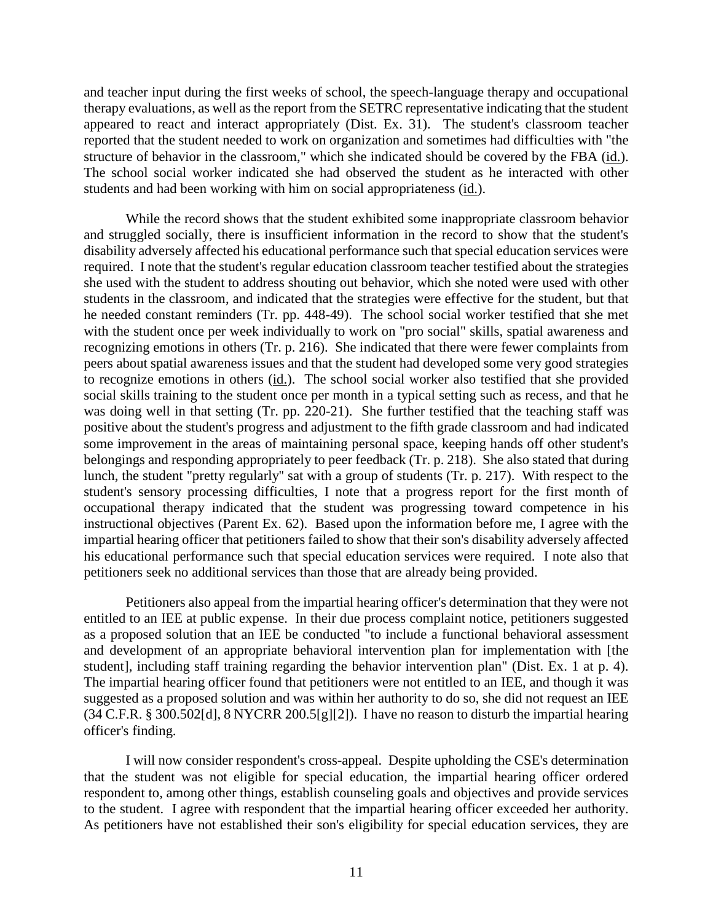and teacher input during the first weeks of school, the speech-language therapy and occupational therapy evaluations, as well as the report from the SETRC representative indicating that the student appeared to react and interact appropriately (Dist. Ex. 31). The student's classroom teacher reported that the student needed to work on organization and sometimes had difficulties with "the structure of behavior in the classroom," which she indicated should be covered by the FBA (id.). The school social worker indicated she had observed the student as he interacted with other students and had been working with him on social appropriateness (id.).

While the record shows that the student exhibited some inappropriate classroom behavior and struggled socially, there is insufficient information in the record to show that the student's disability adversely affected his educational performance such that special education services were required. I note that the student's regular education classroom teacher testified about the strategies she used with the student to address shouting out behavior, which she noted were used with other students in the classroom, and indicated that the strategies were effective for the student, but that he needed constant reminders (Tr. pp. 448-49). The school social worker testified that she met with the student once per week individually to work on "pro social" skills, spatial awareness and recognizing emotions in others (Tr. p. 216). She indicated that there were fewer complaints from peers about spatial awareness issues and that the student had developed some very good strategies to recognize emotions in others (id.). The school social worker also testified that she provided social skills training to the student once per month in a typical setting such as recess, and that he was doing well in that setting (Tr. pp. 220-21). She further testified that the teaching staff was positive about the student's progress and adjustment to the fifth grade classroom and had indicated some improvement in the areas of maintaining personal space, keeping hands off other student's belongings and responding appropriately to peer feedback (Tr. p. 218). She also stated that during lunch, the student "pretty regularly'' sat with a group of students (Tr. p. 217). With respect to the student's sensory processing difficulties, I note that a progress report for the first month of occupational therapy indicated that the student was progressing toward competence in his instructional objectives (Parent Ex. 62). Based upon the information before me, I agree with the impartial hearing officer that petitioners failed to show that their son's disability adversely affected his educational performance such that special education services were required. I note also that petitioners seek no additional services than those that are already being provided.

Petitioners also appeal from the impartial hearing officer's determination that they were not entitled to an IEE at public expense. In their due process complaint notice, petitioners suggested as a proposed solution that an IEE be conducted "to include a functional behavioral assessment and development of an appropriate behavioral intervention plan for implementation with [the student], including staff training regarding the behavior intervention plan" (Dist. Ex. 1 at p. 4). The impartial hearing officer found that petitioners were not entitled to an IEE, and though it was suggested as a proposed solution and was within her authority to do so, she did not request an IEE (34 C.F.R. § 300.502[d], 8 NYCRR 200.5[g][2]). I have no reason to disturb the impartial hearing officer's finding.

I will now consider respondent's cross-appeal. Despite upholding the CSE's determination that the student was not eligible for special education, the impartial hearing officer ordered respondent to, among other things, establish counseling goals and objectives and provide services to the student. I agree with respondent that the impartial hearing officer exceeded her authority. As petitioners have not established their son's eligibility for special education services, they are